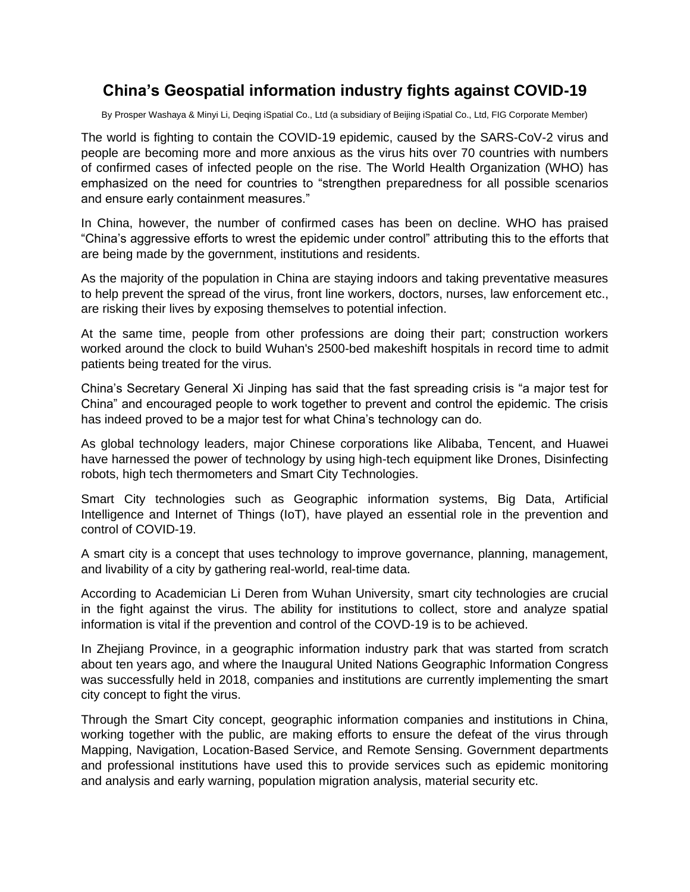# **China's Geospatial information industry fights against COVID-19**

By Prosper Washaya & Minyi Li, Deqing iSpatial Co., Ltd (a subsidiary of Beijing iSpatial Co., Ltd, FIG Corporate Member)

The world is fighting to contain the COVID-19 epidemic, caused by the SARS-CoV-2 virus and people are becoming more and more anxious as the virus hits over 70 countries with numbers of confirmed cases of infected people on the rise. The World Health Organization (WHO) has emphasized on the need for countries to "strengthen preparedness for all possible scenarios and ensure early containment measures."

In China, however, the number of confirmed cases has been on decline. WHO has praised "China's aggressive efforts to wrest the epidemic under control" attributing this to the efforts that are being made by the government, institutions and residents.

As the majority of the population in China are staying indoors and taking preventative measures to help prevent the spread of the virus, front line workers, doctors, nurses, law enforcement etc., are risking their lives by exposing themselves to potential infection.

At the same time, people from other professions are doing their part; construction workers worked around the clock to build Wuhan's 2500-bed makeshift hospitals in record time to admit patients being treated for the virus.

China's Secretary General Xi Jinping has said that the fast spreading crisis is "a major test for China" and encouraged people to work together to prevent and control the epidemic. The crisis has indeed proved to be a major test for what China's technology can do.

As global technology leaders, major Chinese corporations like Alibaba, Tencent, and Huawei have harnessed the power of technology by using high-tech equipment like Drones, Disinfecting robots, high tech thermometers and Smart City Technologies.

Smart City technologies such as Geographic information systems, Big Data, Artificial Intelligence and Internet of Things (IoT), have played an essential role in the prevention and control of COVID-19.

A smart city is a concept that uses technology to improve governance, planning, management, and livability of a city by gathering real-world, real-time data.

According to Academician Li Deren from Wuhan University, smart city technologies are crucial in the fight against the virus. The ability for institutions to collect, store and analyze spatial information is vital if the prevention and control of the COVD-19 is to be achieved.

In Zhejiang Province, in a geographic information industry park that was started from scratch about ten years ago, and where the Inaugural United Nations Geographic Information Congress was successfully held in 2018, companies and institutions are currently implementing the smart city concept to fight the virus.

Through the Smart City concept, geographic information companies and institutions in China, working together with the public, are making efforts to ensure the defeat of the virus through Mapping, Navigation, Location-Based Service, and Remote Sensing. Government departments and professional institutions have used this to provide services such as epidemic monitoring and analysis and early warning, population migration analysis, material security etc.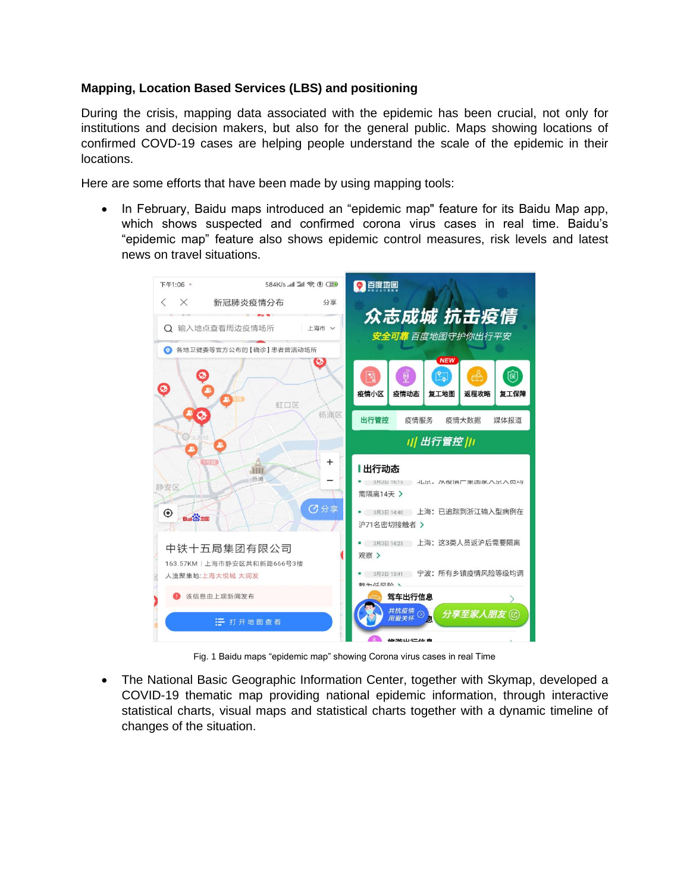## **Mapping, Location Based Services (LBS) and positioning**

During the crisis, mapping data associated with the epidemic has been crucial, not only for institutions and decision makers, but also for the general public. Maps showing locations of confirmed COVD-19 cases are helping people understand the scale of the epidemic in their locations.

Here are some efforts that have been made by using mapping tools:

• In February, Baidu maps introduced an "epidemic map" feature for its Baidu Map app, which shows suspected and confirmed corona virus cases in real time. Baidu's "epidemic map" feature also shows epidemic control measures, risk levels and latest news on travel situations.



Fig. 1 Baidu maps "epidemic map" showing Corona virus cases in real Time

• The National Basic Geographic Information Center, together with Skymap, developed a COVID-19 thematic map providing national epidemic information, through interactive statistical charts, visual maps and statistical charts together with a dynamic timeline of changes of the situation.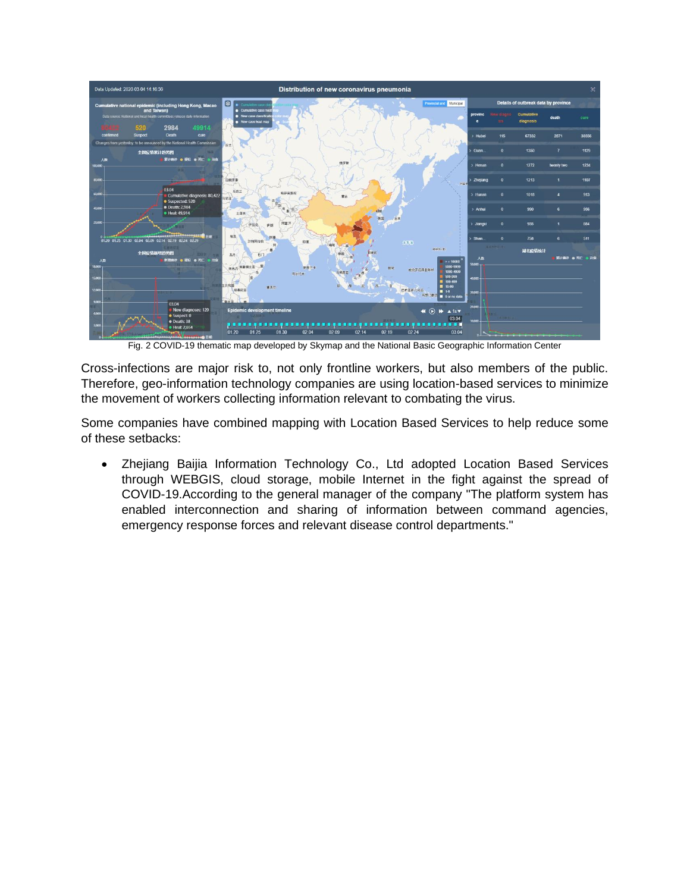

Fig. 2 COVID-19 thematic map developed by Skymap and the National Basic Geographic Information Center

Cross-infections are major risk to, not only frontline workers, but also members of the public. Therefore, geo-information technology companies are using location-based services to minimize the movement of workers collecting information relevant to combating the virus.

Some companies have combined mapping with Location Based Services to help reduce some of these setbacks:

• Zhejiang Baijia Information Technology Co., Ltd adopted Location Based Services through WEBGIS, cloud storage, mobile Internet in the fight against the spread of COVID-19.According to the general manager of the company "The platform system has enabled interconnection and sharing of information between command agencies, emergency response forces and relevant disease control departments."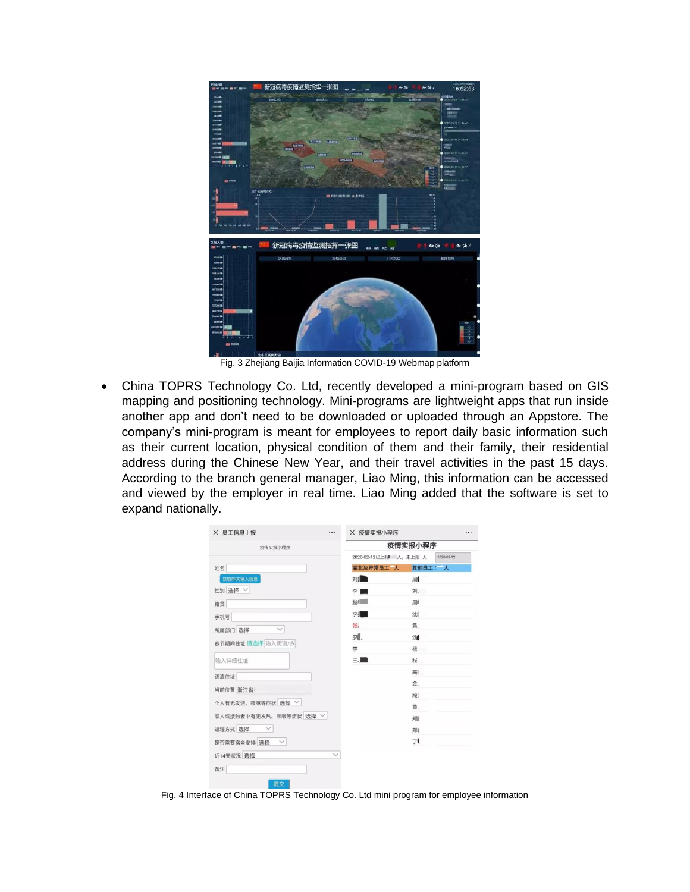

Fig. 3 Zhejiang Baijia Information COVID-19 Webmap platform

• China TOPRS Technology Co. Ltd, recently developed a mini-program based on GIS mapping and positioning technology. Mini-programs are lightweight apps that run inside another app and don't need to be downloaded or uploaded through an Appstore. The company's mini-program is meant for employees to report daily basic information such as their current location, physical condition of them and their family, their residential address during the Chinese New Year, and their travel activities in the past 15 days. According to the branch general manager, Liao Ming, this information can be accessed and viewed by the employer in real time. Liao Ming added that the software is set to expand nationally.

| 疫情实报小程序                | 疫情实报小程序   |                      |            |
|------------------------|-----------|----------------------|------------|
|                        |           | 2020-02-12已上报 人,未上报人 | 2020-02-12 |
| 姓名                     | 湖北及异常员工 人 | 其他员工: 人              |            |
| 获取昨天输入信息               | 刘国        | 周                    |            |
| 性别 选择 ∨                | 李■        | 刘                    |            |
| 籍贯                     | #xf       | 周                    |            |
| 手机号                    | 李升        | 沈                    |            |
| 所属部门 选择                | 张         | 凿.                   |            |
| 春节期间住址 请选择 输入街道/乡      | 櫆.        | 沈                    |            |
|                        | 李         | 杨                    |            |
| 输入详细住址                 | 王国        | 程                    |            |
| 德清住址                   |           | 高                    |            |
| 当前位置 浙江省               |           | 金.                   |            |
| 个人有无发烧、咳嗽等症状 选择 〉      |           | 段                    |            |
|                        |           | 黄.                   |            |
| 家人或接触者中有无发热、咳嗽等症状 选择 > |           | 郑                    |            |
| 返程方式 选择                |           | 郑                    |            |
| 是否需要宿舍安排 选择 >          |           | Τŧ                   |            |
| 近14天状况 选择              |           |                      |            |
| 备注                     |           |                      |            |

Fig. 4 Interface of China TOPRS Technology Co. Ltd mini program for employee information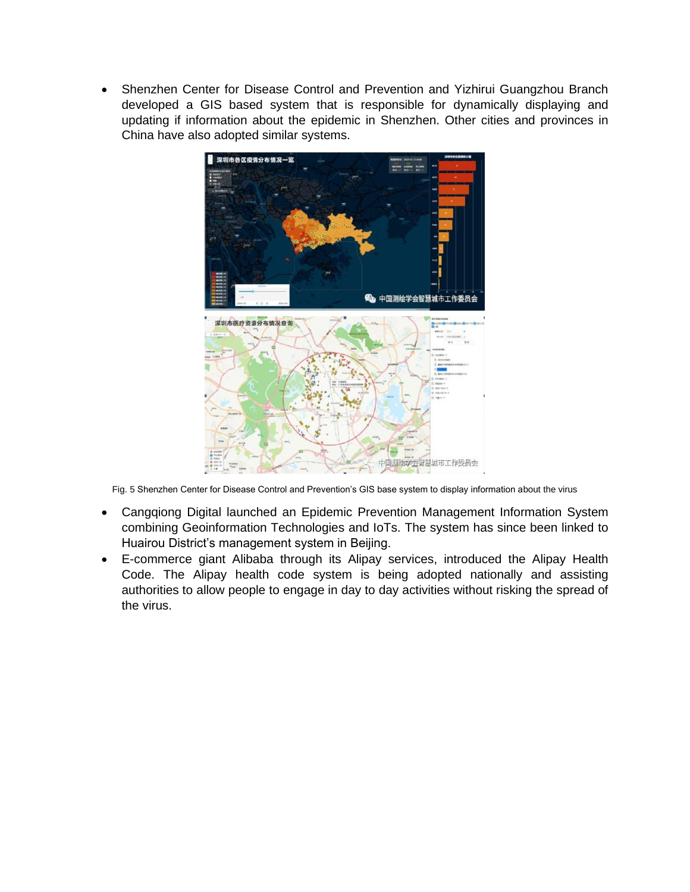• Shenzhen Center for Disease Control and Prevention and Yizhirui Guangzhou Branch developed a GIS based system that is responsible for dynamically displaying and updating if information about the epidemic in Shenzhen. Other cities and provinces in China have also adopted similar systems.



Fig. 5 Shenzhen Center for Disease Control and Prevention's GIS base system to display information about the virus

- Cangqiong Digital launched an Epidemic Prevention Management Information System combining Geoinformation Technologies and IoTs. The system has since been linked to Huairou District's management system in Beijing.
- E-commerce giant Alibaba through its Alipay services, introduced the Alipay Health Code. The Alipay health code system is being adopted nationally and assisting authorities to allow people to engage in day to day activities without risking the spread of the virus.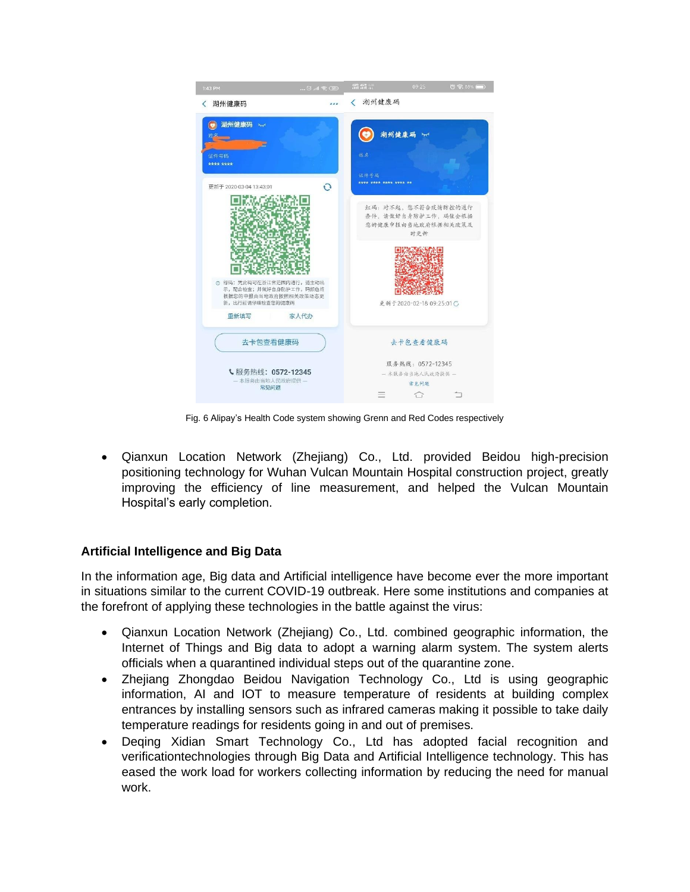

Fig. 6 Alipay's Health Code system showing Grenn and Red Codes respectively

• Qianxun Location Network (Zhejiang) Co., Ltd. provided Beidou high-precision positioning technology for Wuhan Vulcan Mountain Hospital construction project, greatly improving the efficiency of line measurement, and helped the Vulcan Mountain Hospital's early completion.

## **Artificial Intelligence and Big Data**

In the information age, Big data and Artificial intelligence have become ever the more important in situations similar to the current COVID-19 outbreak. Here some institutions and companies at the forefront of applying these technologies in the battle against the virus:

- Qianxun Location Network (Zhejiang) Co., Ltd. combined geographic information, the Internet of Things and Big data to adopt a warning alarm system. The system alerts officials when a quarantined individual steps out of the quarantine zone.
- Zhejiang Zhongdao Beidou Navigation Technology Co., Ltd is using geographic information, AI and IOT to measure temperature of residents at building complex entrances by installing sensors such as infrared cameras making it possible to take daily temperature readings for residents going in and out of premises.
- Deqing Xidian Smart Technology Co., Ltd has adopted facial recognition and verificationtechnologies through Big Data and Artificial Intelligence technology. This has eased the work load for workers collecting information by reducing the need for manual work.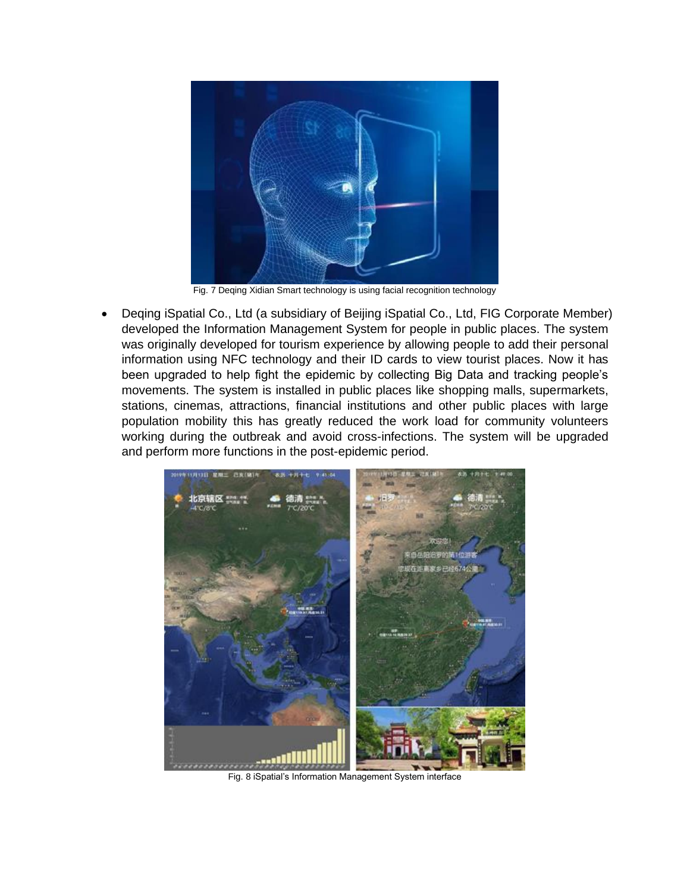

Fig. 7 Deqing Xidian Smart technology is using facial recognition technology

• Deqing iSpatial Co., Ltd (a subsidiary of Beijing iSpatial Co., Ltd, FIG Corporate Member) developed the Information Management System for people in public places. The system was originally developed for tourism experience by allowing people to add their personal information using NFC technology and their ID cards to view tourist places. Now it has been upgraded to help fight the epidemic by collecting Big Data and tracking people's movements. The system is installed in public places like shopping malls, supermarkets, stations, cinemas, attractions, financial institutions and other public places with large population mobility this has greatly reduced the work load for community volunteers working during the outbreak and avoid cross-infections. The system will be upgraded and perform more functions in the post-epidemic period.



Fig. 8 iSpatial's Information Management System interface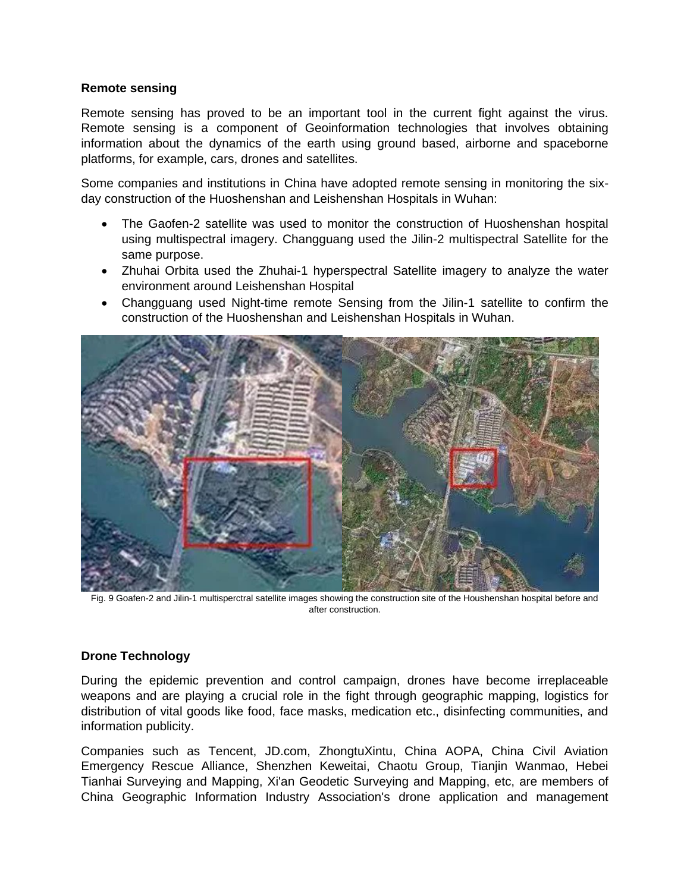#### **Remote sensing**

Remote sensing has proved to be an important tool in the current fight against the virus. Remote sensing is a component of Geoinformation technologies that involves obtaining information about the dynamics of the earth using ground based, airborne and spaceborne platforms, for example, cars, drones and satellites.

Some companies and institutions in China have adopted remote sensing in monitoring the sixday construction of the Huoshenshan and Leishenshan Hospitals in Wuhan:

- The Gaofen-2 satellite was used to monitor the construction of Huoshenshan hospital using multispectral imagery. Changguang used the Jilin-2 multispectral Satellite for the same purpose.
- Zhuhai Orbita used the Zhuhai-1 hyperspectral Satellite imagery to analyze the water environment around Leishenshan Hospital
- Changguang used Night-time remote Sensing from the Jilin-1 satellite to confirm the construction of the Huoshenshan and Leishenshan Hospitals in Wuhan.



Fig. 9 Goafen-2 and Jilin-1 multisperctral satellite images showing the construction site of the Houshenshan hospital before and after construction.

## **Drone Technology**

During the epidemic prevention and control campaign, drones have become irreplaceable weapons and are playing a crucial role in the fight through geographic mapping, logistics for distribution of vital goods like food, face masks, medication etc., disinfecting communities, and information publicity.

Companies such as Tencent, JD.com, ZhongtuXintu, China AOPA, China Civil Aviation Emergency Rescue Alliance, Shenzhen Keweitai, Chaotu Group, Tianjin Wanmao, Hebei Tianhai Surveying and Mapping, Xi'an Geodetic Surveying and Mapping, etc, are members of China Geographic Information Industry Association's drone application and management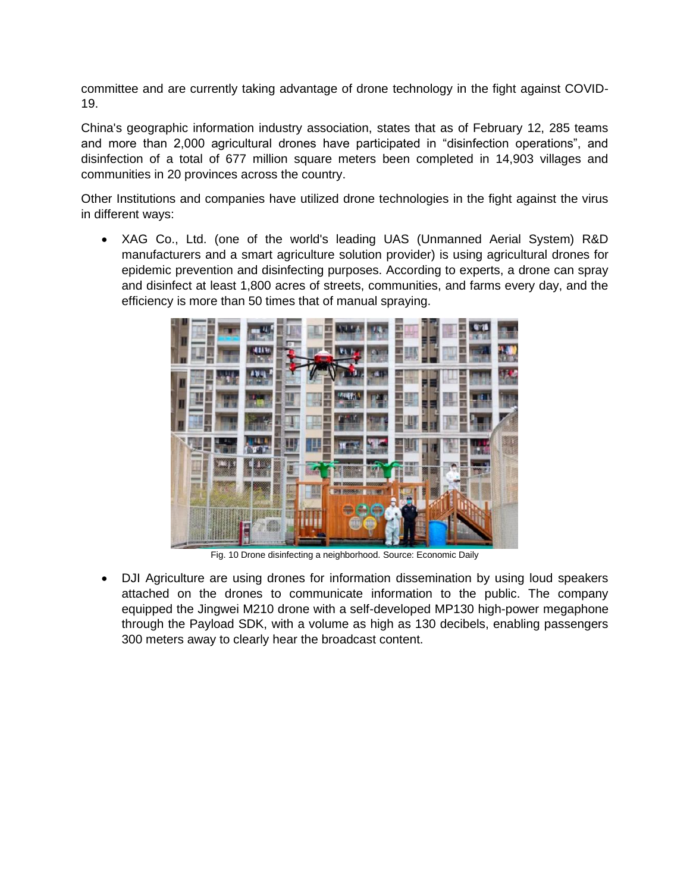committee and are currently taking advantage of drone technology in the fight against COVID-19.

China's geographic information industry association, states that as of February 12, 285 teams and more than 2,000 agricultural drones have participated in "disinfection operations", and disinfection of a total of 677 million square meters been completed in 14,903 villages and communities in 20 provinces across the country.

Other Institutions and companies have utilized drone technologies in the fight against the virus in different ways:

• XAG Co., Ltd. (one of the world's leading UAS (Unmanned Aerial System) R&D manufacturers and a smart agriculture solution provider) is using agricultural drones for epidemic prevention and disinfecting purposes. According to experts, a drone can spray and disinfect at least 1,800 acres of streets, communities, and farms every day, and the efficiency is more than 50 times that of manual spraying.



Fig. 10 Drone disinfecting a neighborhood. Source: Economic Daily

• DJI Agriculture are using drones for information dissemination by using loud speakers attached on the drones to communicate information to the public. The company equipped the Jingwei M210 drone with a self-developed MP130 high-power megaphone through the Payload SDK, with a volume as high as 130 decibels, enabling passengers 300 meters away to clearly hear the broadcast content.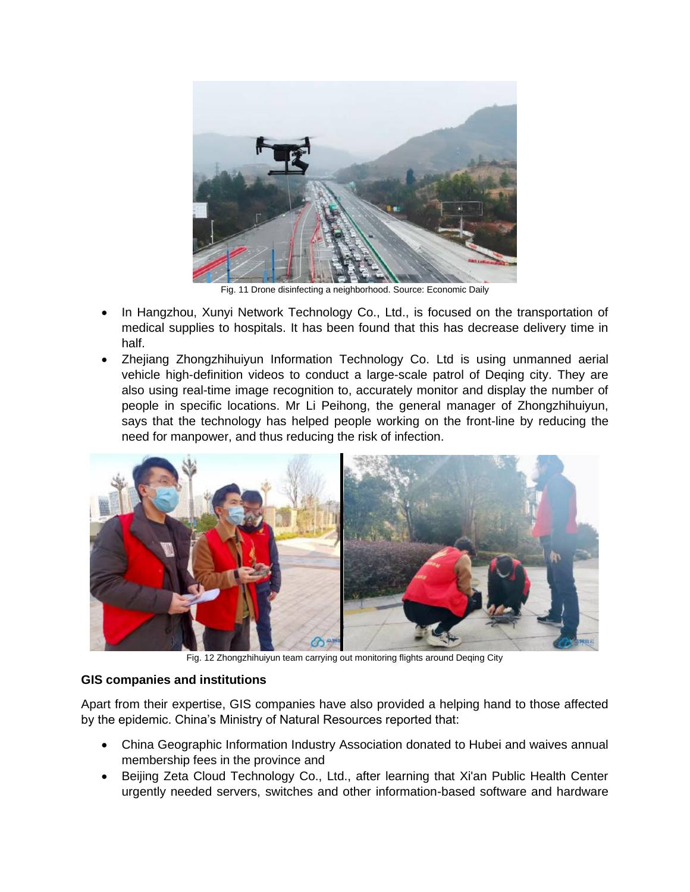

Fig. 11 Drone disinfecting a neighborhood. Source: Economic Daily

- In Hangzhou, Xunyi Network Technology Co., Ltd., is focused on the transportation of medical supplies to hospitals. It has been found that this has decrease delivery time in half.
- Zhejiang Zhongzhihuiyun Information Technology Co. Ltd is using unmanned aerial vehicle high-definition videos to conduct a large-scale patrol of Deqing city. They are also using real-time image recognition to, accurately monitor and display the number of people in specific locations. Mr Li Peihong, the general manager of Zhongzhihuiyun, says that the technology has helped people working on the front-line by reducing the need for manpower, and thus reducing the risk of infection.



Fig. 12 Zhongzhihuiyun team carrying out monitoring flights around Deqing City

## **GIS companies and institutions**

Apart from their expertise, GIS companies have also provided a helping hand to those affected by the epidemic. China's Ministry of Natural Resources reported that:

- China Geographic Information Industry Association donated to Hubei and waives annual membership fees in the province and
- Beijing Zeta Cloud Technology Co., Ltd., after learning that Xi'an Public Health Center urgently needed servers, switches and other information-based software and hardware